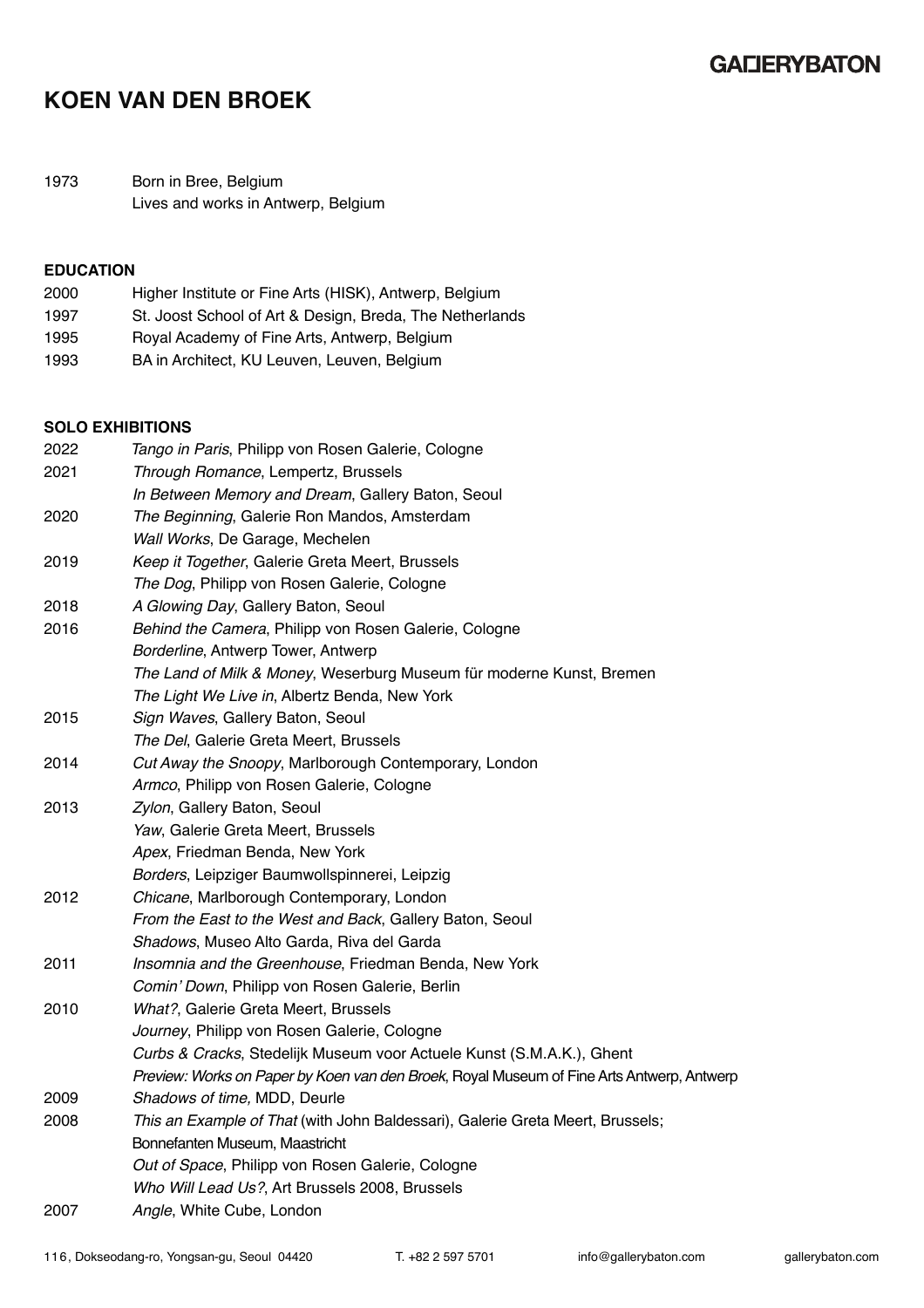### **GALIERYBATON**

## **KOEN VAN DEN BROEK**

1973 Born in Bree, Belgium Lives and works in Antwerp, Belgium

### **EDUCATION**

| 2000 | Higher Institute or Fine Arts (HISK), Antwerp, Belgium   |
|------|----------------------------------------------------------|
| 1997 | St. Joost School of Art & Design, Breda, The Netherlands |
| 1995 | Royal Academy of Fine Arts, Antwerp, Belgium             |
| 1993 | BA in Architect, KU Leuven, Leuven, Belgium              |

#### **SOLO EXHIBITIONS**

| 2022 | Tango in Paris, Philipp von Rosen Galerie, Cologne                                        |
|------|-------------------------------------------------------------------------------------------|
| 2021 | Through Romance, Lempertz, Brussels                                                       |
|      | In Between Memory and Dream, Gallery Baton, Seoul                                         |
| 2020 | The Beginning, Galerie Ron Mandos, Amsterdam                                              |
|      | Wall Works, De Garage, Mechelen                                                           |
| 2019 | Keep it Together, Galerie Greta Meert, Brussels                                           |
|      | The Dog, Philipp von Rosen Galerie, Cologne                                               |
| 2018 | A Glowing Day, Gallery Baton, Seoul                                                       |
| 2016 | Behind the Camera, Philipp von Rosen Galerie, Cologne                                     |
|      | Borderline, Antwerp Tower, Antwerp                                                        |
|      | The Land of Milk & Money, Weserburg Museum für moderne Kunst, Bremen                      |
|      | The Light We Live in, Albertz Benda, New York                                             |
| 2015 | Sign Waves, Gallery Baton, Seoul                                                          |
|      | The Del, Galerie Greta Meert, Brussels                                                    |
| 2014 | Cut Away the Snoopy, Marlborough Contemporary, London                                     |
|      | Armco, Philipp von Rosen Galerie, Cologne                                                 |
| 2013 | Zylon, Gallery Baton, Seoul                                                               |
|      | Yaw, Galerie Greta Meert, Brussels                                                        |
|      | Apex, Friedman Benda, New York                                                            |
|      | Borders, Leipziger Baumwollspinnerei, Leipzig                                             |
| 2012 | Chicane, Marlborough Contemporary, London                                                 |
|      | From the East to the West and Back, Gallery Baton, Seoul                                  |
|      | Shadows, Museo Alto Garda, Riva del Garda                                                 |
| 2011 | Insomnia and the Greenhouse, Friedman Benda, New York                                     |
|      | Comin' Down, Philipp von Rosen Galerie, Berlin                                            |
| 2010 | What?, Galerie Greta Meert, Brussels                                                      |
|      | Journey, Philipp von Rosen Galerie, Cologne                                               |
|      | Curbs & Cracks, Stedelijk Museum voor Actuele Kunst (S.M.A.K.), Ghent                     |
|      | Preview: Works on Paper by Koen van den Broek, Royal Museum of Fine Arts Antwerp, Antwerp |
| 2009 | Shadows of time, MDD, Deurle                                                              |
| 2008 | This an Example of That (with John Baldessari), Galerie Greta Meert, Brussels;            |
|      | Bonnefanten Museum, Maastricht                                                            |
|      | Out of Space, Philipp von Rosen Galerie, Cologne                                          |
|      | Who Will Lead Us?, Art Brussels 2008, Brussels                                            |
| 2007 | Angle, White Cube, London                                                                 |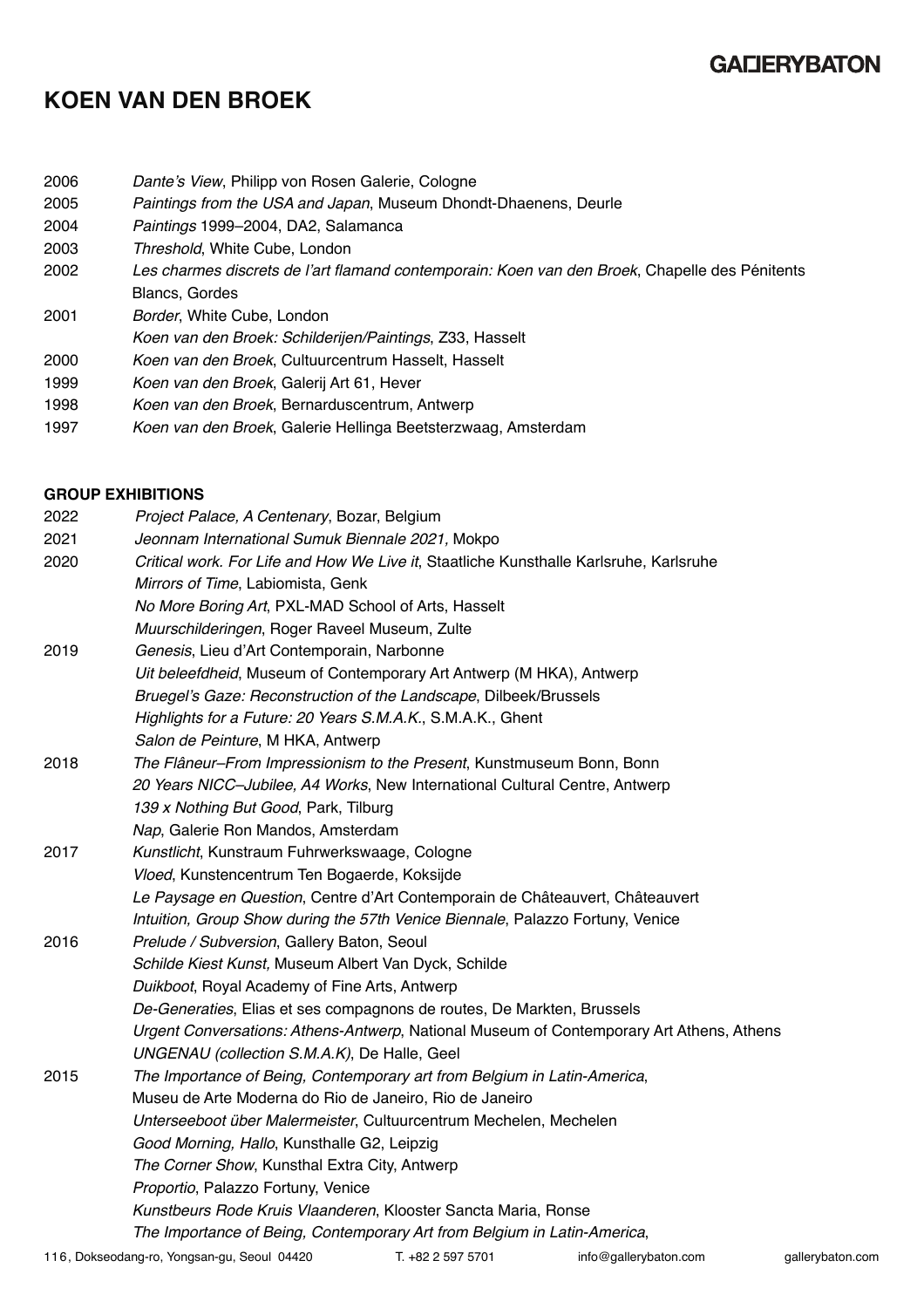### **GALIERYBATON**

## **KOEN VAN DEN BROEK**

- 2006 *Dante's View*, Philipp von Rosen Galerie, Cologne
- 2005 *Paintings from the USA and Japan*, Museum Dhondt-Dhaenens, Deurle
- 2004 *Paintings* 1999–2004, DA2, Salamanca
- 2003 *Threshold*, White Cube, London
- 2002 *Les charmes discrets de l'art flamand contemporain: Koen van den Broek*, Chapelle des Pénitents Blancs, Gordes
- 2001 *Border*, White Cube, London
- *Koen van den Broek: Schilderijen/Paintings*, Z33, Hasselt
- 2000 *Koen van den Broek*, Cultuurcentrum Hasselt, Hasselt
- 1999 *Koen van den Broek*, Galerij Art 61, Hever
- 1998 *Koen van den Broek*, Bernarduscentrum, Antwerp
- 1997 *Koen van den Broek*, Galerie Hellinga Beetsterzwaag, Amsterdam

#### **GROUP EXHIBITIONS**

| 2022 | Project Palace, A Centenary, Bozar, Belgium                                              |
|------|------------------------------------------------------------------------------------------|
| 2021 | Jeonnam International Sumuk Biennale 2021, Mokpo                                         |
| 2020 | Critical work. For Life and How We Live it, Staatliche Kunsthalle Karlsruhe, Karlsruhe   |
|      | Mirrors of Time, Labiomista, Genk                                                        |
|      | No More Boring Art, PXL-MAD School of Arts, Hasselt                                      |
|      | Muurschilderingen, Roger Raveel Museum, Zulte                                            |
| 2019 | Genesis, Lieu d'Art Contemporain, Narbonne                                               |
|      | Uit beleefdheid, Museum of Contemporary Art Antwerp (M HKA), Antwerp                     |
|      | Bruegel's Gaze: Reconstruction of the Landscape, Dilbeek/Brussels                        |
|      | Highlights for a Future: 20 Years S.M.A.K., S.M.A.K., Ghent                              |
|      | Salon de Peinture, M HKA, Antwerp                                                        |
| 2018 | The Flâneur-From Impressionism to the Present, Kunstmuseum Bonn, Bonn                    |
|      | 20 Years NICC-Jubilee, A4 Works, New International Cultural Centre, Antwerp              |
|      | 139 x Nothing But Good, Park, Tilburg                                                    |
|      | Nap, Galerie Ron Mandos, Amsterdam                                                       |
| 2017 | Kunstlicht, Kunstraum Fuhrwerkswaage, Cologne                                            |
|      | Vloed, Kunstencentrum Ten Bogaerde, Koksijde                                             |
|      | Le Paysage en Question, Centre d'Art Contemporain de Châteauvert, Châteauvert            |
|      | Intuition, Group Show during the 57th Venice Biennale, Palazzo Fortuny, Venice           |
| 2016 | Prelude / Subversion, Gallery Baton, Seoul                                               |
|      | Schilde Kiest Kunst, Museum Albert Van Dyck, Schilde                                     |
|      | Duikboot, Royal Academy of Fine Arts, Antwerp                                            |
|      | De-Generaties, Elias et ses compagnons de routes, De Markten, Brussels                   |
|      | Urgent Conversations: Athens-Antwerp, National Museum of Contemporary Art Athens, Athens |
|      | UNGENAU (collection S.M.A.K), De Halle, Geel                                             |
| 2015 | The Importance of Being, Contemporary art from Belgium in Latin-America,                 |
|      | Museu de Arte Moderna do Rio de Janeiro, Rio de Janeiro                                  |
|      | Unterseeboot über Malermeister, Cultuurcentrum Mechelen, Mechelen                        |
|      | Good Morning, Hallo, Kunsthalle G2, Leipzig                                              |
|      | The Corner Show, Kunsthal Extra City, Antwerp                                            |
|      | Proportio, Palazzo Fortuny, Venice                                                       |
|      | Kunstbeurs Rode Kruis Vlaanderen, Klooster Sancta Maria, Ronse                           |
|      | The Importance of Being, Contemporary Art from Belgium in Latin-America,                 |
|      |                                                                                          |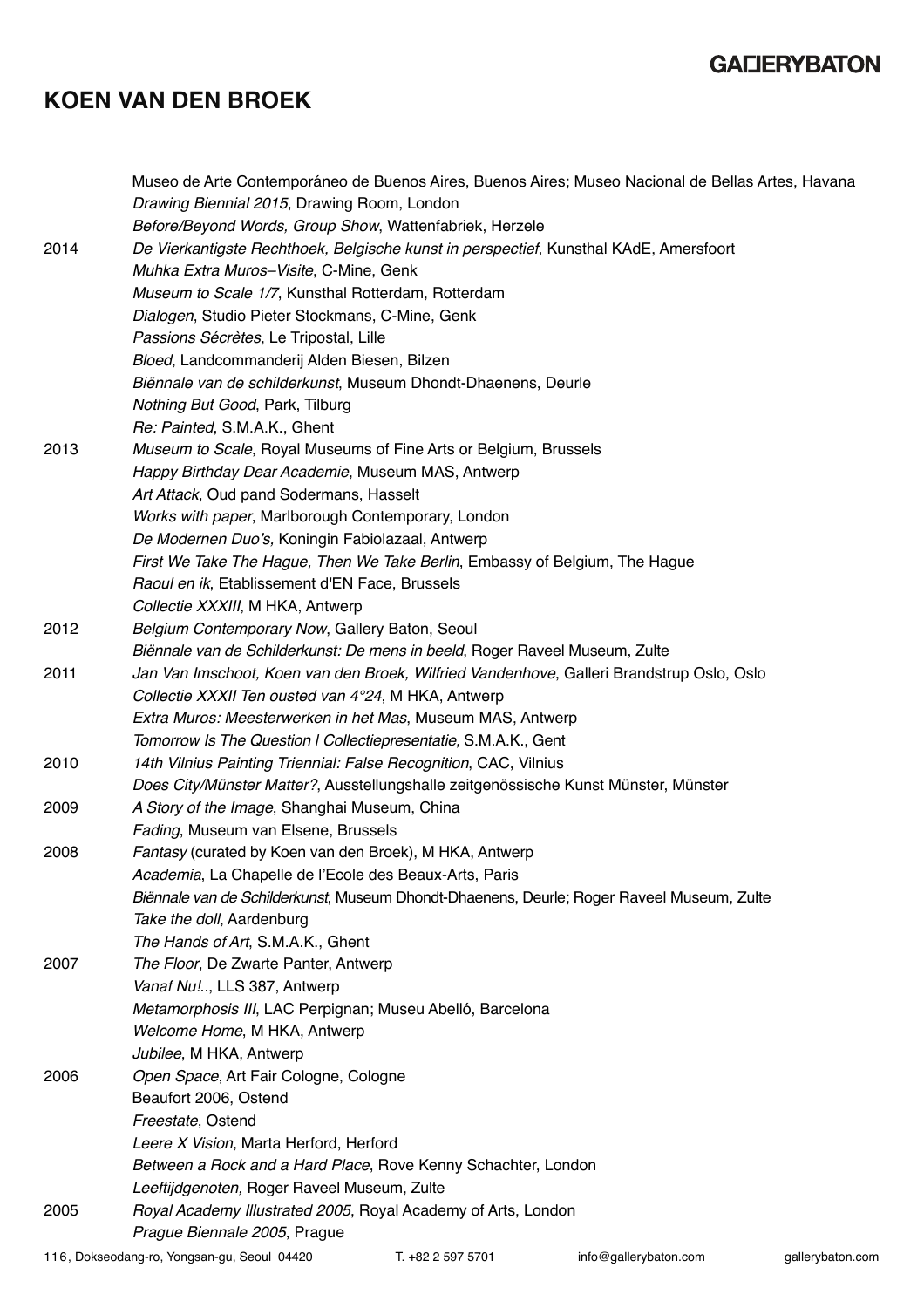# **KOEN VAN DEN BROEK**

|      | Museo de Arte Contemporáneo de Buenos Aires, Buenos Aires; Museo Nacional de Bellas Artes, Havana |                   |                       |                  |
|------|---------------------------------------------------------------------------------------------------|-------------------|-----------------------|------------------|
|      | Drawing Biennial 2015, Drawing Room, London                                                       |                   |                       |                  |
|      | Before/Beyond Words, Group Show, Wattenfabriek, Herzele                                           |                   |                       |                  |
| 2014 | De Vierkantigste Rechthoek, Belgische kunst in perspectief, Kunsthal KAdE, Amersfoort             |                   |                       |                  |
|      | Muhka Extra Muros-Visite, C-Mine, Genk                                                            |                   |                       |                  |
|      | Museum to Scale 1/7, Kunsthal Rotterdam, Rotterdam                                                |                   |                       |                  |
|      | Dialogen, Studio Pieter Stockmans, C-Mine, Genk                                                   |                   |                       |                  |
|      | Passions Sécrètes, Le Tripostal, Lille                                                            |                   |                       |                  |
|      | Bloed, Landcommanderij Alden Biesen, Bilzen                                                       |                   |                       |                  |
|      | Biënnale van de schilderkunst, Museum Dhondt-Dhaenens, Deurle                                     |                   |                       |                  |
|      | Nothing But Good, Park, Tilburg                                                                   |                   |                       |                  |
|      | Re: Painted, S.M.A.K., Ghent                                                                      |                   |                       |                  |
| 2013 | Museum to Scale, Royal Museums of Fine Arts or Belgium, Brussels                                  |                   |                       |                  |
|      | Happy Birthday Dear Academie, Museum MAS, Antwerp                                                 |                   |                       |                  |
|      | Art Attack, Oud pand Sodermans, Hasselt                                                           |                   |                       |                  |
|      | Works with paper, Marlborough Contemporary, London                                                |                   |                       |                  |
|      | De Modernen Duo's, Koningin Fabiolazaal, Antwerp                                                  |                   |                       |                  |
|      | First We Take The Hague, Then We Take Berlin, Embassy of Belgium, The Hague                       |                   |                       |                  |
|      | Raoul en ik, Etablissement d'EN Face, Brussels                                                    |                   |                       |                  |
|      | Collectie XXXIII, M HKA, Antwerp                                                                  |                   |                       |                  |
| 2012 | Belgium Contemporary Now, Gallery Baton, Seoul                                                    |                   |                       |                  |
|      | Biënnale van de Schilderkunst: De mens in beeld, Roger Raveel Museum, Zulte                       |                   |                       |                  |
| 2011 | Jan Van Imschoot, Koen van den Broek, Wilfried Vandenhove, Galleri Brandstrup Oslo, Oslo          |                   |                       |                  |
|      | Collectie XXXII Ten ousted van 4°24, M HKA, Antwerp                                               |                   |                       |                  |
|      | Extra Muros: Meesterwerken in het Mas, Museum MAS, Antwerp                                        |                   |                       |                  |
|      | Tomorrow Is The Question I Collectiepresentatie, S.M.A.K., Gent                                   |                   |                       |                  |
| 2010 | 14th Vilnius Painting Triennial: False Recognition, CAC, Vilnius                                  |                   |                       |                  |
|      | Does City/Münster Matter?, Ausstellungshalle zeitgenössische Kunst Münster, Münster               |                   |                       |                  |
| 2009 | A Story of the Image, Shanghai Museum, China                                                      |                   |                       |                  |
|      | Fading, Museum van Elsene, Brussels                                                               |                   |                       |                  |
| 2008 | Fantasy (curated by Koen van den Broek), M HKA, Antwerp                                           |                   |                       |                  |
|      | Academia, La Chapelle de l'Ecole des Beaux-Arts, Paris                                            |                   |                       |                  |
|      | Biënnale van de Schilderkunst, Museum Dhondt-Dhaenens, Deurle; Roger Raveel Museum, Zulte         |                   |                       |                  |
|      | Take the doll, Aardenburg                                                                         |                   |                       |                  |
|      | The Hands of Art, S.M.A.K., Ghent                                                                 |                   |                       |                  |
| 2007 | The Floor, De Zwarte Panter, Antwerp                                                              |                   |                       |                  |
|      | Vanaf Nu !, LLS 387, Antwerp                                                                      |                   |                       |                  |
|      | Metamorphosis III, LAC Perpignan; Museu Abelló, Barcelona                                         |                   |                       |                  |
|      | Welcome Home, M HKA, Antwerp                                                                      |                   |                       |                  |
|      | Jubilee, M HKA, Antwerp                                                                           |                   |                       |                  |
| 2006 | Open Space, Art Fair Cologne, Cologne                                                             |                   |                       |                  |
|      | Beaufort 2006, Ostend                                                                             |                   |                       |                  |
|      | Freestate, Ostend                                                                                 |                   |                       |                  |
|      | Leere X Vision, Marta Herford, Herford                                                            |                   |                       |                  |
|      | Between a Rock and a Hard Place, Rove Kenny Schachter, London                                     |                   |                       |                  |
|      | Leeftijdgenoten, Roger Raveel Museum, Zulte                                                       |                   |                       |                  |
| 2005 | Royal Academy Illustrated 2005, Royal Academy of Arts, London                                     |                   |                       |                  |
|      | Prague Biennale 2005, Prague                                                                      |                   |                       |                  |
|      | 116, Dokseodang-ro, Yongsan-gu, Seoul 04420                                                       | T. +82 2 597 5701 | info@gallerybaton.com | gallerybaton.com |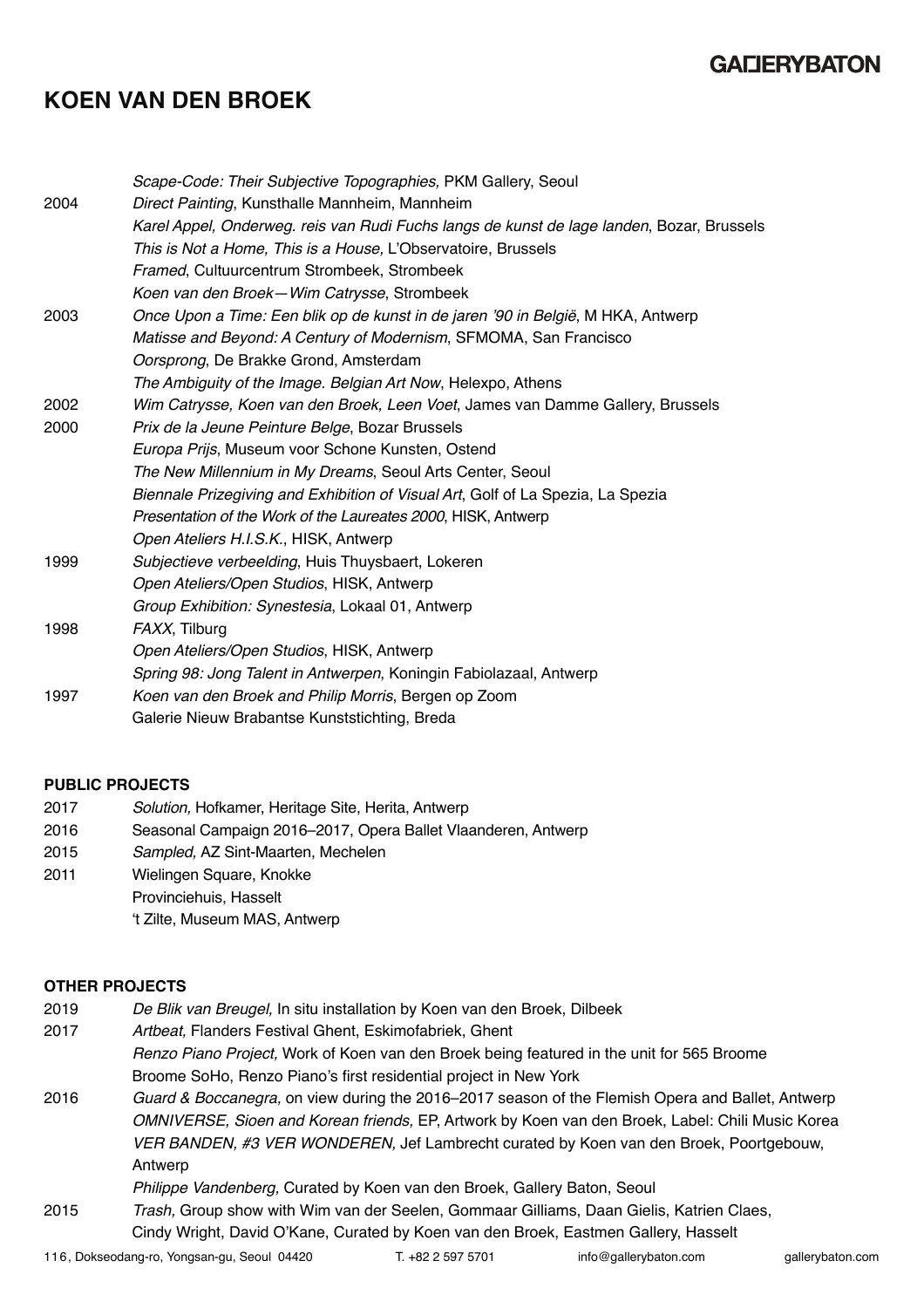# **KOEN VAN DEN BROEK**

|      | Scape-Code: Their Subjective Topographies, PKM Gallery, Seoul                             |
|------|-------------------------------------------------------------------------------------------|
| 2004 | Direct Painting, Kunsthalle Mannheim, Mannheim                                            |
|      | Karel Appel, Onderweg. reis van Rudi Fuchs langs de kunst de lage landen, Bozar, Brussels |
|      | This is Not a Home, This is a House, L'Observatoire, Brussels                             |
|      | Framed, Cultuurcentrum Strombeek, Strombeek                                               |
|      | Koen van den Broek-Wim Catrysse, Strombeek                                                |
| 2003 | Once Upon a Time: Een blik op de kunst in de jaren '90 in België, M HKA, Antwerp          |
|      | Matisse and Beyond: A Century of Modernism, SFMOMA, San Francisco                         |
|      | Oorsprong, De Brakke Grond, Amsterdam                                                     |
|      | The Ambiguity of the Image. Belgian Art Now, Helexpo, Athens                              |
| 2002 | Wim Catrysse, Koen van den Broek, Leen Voet, James van Damme Gallery, Brussels            |
| 2000 | Prix de la Jeune Peinture Belge, Bozar Brussels                                           |
|      | Europa Prijs, Museum voor Schone Kunsten, Ostend                                          |
|      | The New Millennium in My Dreams, Seoul Arts Center, Seoul                                 |
|      | Biennale Prizegiving and Exhibition of Visual Art, Golf of La Spezia, La Spezia           |
|      | Presentation of the Work of the Laureates 2000, HISK, Antwerp                             |
|      | Open Ateliers H.I.S.K., HISK, Antwerp                                                     |
| 1999 | Subjectieve verbeelding, Huis Thuysbaert, Lokeren                                         |
|      | Open Ateliers/Open Studios, HISK, Antwerp                                                 |
|      | Group Exhibition: Synestesia, Lokaal 01, Antwerp                                          |
| 1998 | FAXX, Tilburg                                                                             |
|      | Open Ateliers/Open Studios, HISK, Antwerp                                                 |
|      | Spring 98: Jong Talent in Antwerpen, Koningin Fabiolazaal, Antwerp                        |
| 1997 | Koen van den Broek and Philip Morris, Bergen op Zoom                                      |
|      | Galerie Nieuw Brabantse Kunststichting, Breda                                             |

#### **PUBLIC PROJECTS**

| 2017 | Solution, Hofkamer, Heritage Site, Herita, Antwerp |
|------|----------------------------------------------------|
|------|----------------------------------------------------|

- 2016 Seasonal Campaign 2016–2017, Opera Ballet Vlaanderen, Antwerp
- 2015 *Sampled,* AZ Sint-Maarten, Mechelen
- 2011 Wielingen Square, Knokke
	- Provinciehuis, Hasselt
		- 't Zilte, Museum MAS, Antwerp

#### **OTHER PROJECTS**

- 2019 *De Blik van Breugel,* In situ installation by Koen van den Broek, Dilbeek
- 2017 *Artbeat,* Flanders Festival Ghent, Eskimofabriek, Ghent *Renzo Piano Project,* Work of Koen van den Broek being featured in the unit for 565 Broome Broome SoHo, Renzo Piano's first residential project in New York
- 2016 *Guard & Boccanegra,* on view during the 2016–2017 season of the Flemish Opera and Ballet, Antwerp *OMNIVERSE, Sioen and Korean friends,* EP, Artwork by Koen van den Broek, Label: Chili Music Korea *VER BANDEN, #3 VER WONDEREN,* Jef Lambrecht curated by Koen van den Broek, Poortgebouw, Antwerp

*Philippe Vandenberg,* Curated by Koen van den Broek, Gallery Baton, Seoul

2015 *Trash,* Group show with Wim van der Seelen, Gommaar Gilliams, Daan Gielis, Katrien Claes, Cindy Wright, David O'Kane, Curated by Koen van den Broek, Eastmen Gallery, Hasselt